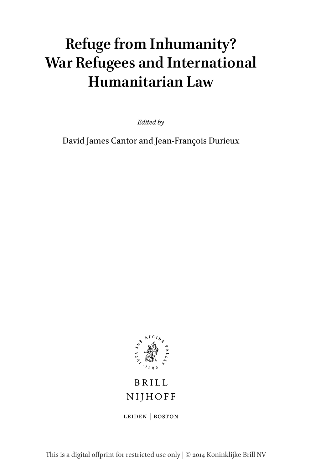# **Refuge from Inhumanity? War Refugees and International Humanitarian Law**

*Edited by*

David James Cantor and Jean-François Durieux



# **BRILL** NIJHOFF

LEIDEN | BOSTON

This is a digital offprint for restricted use only | © 2014 Koninklijke Brill NV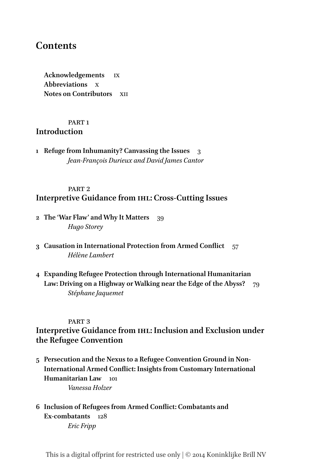# **Contents**

**Acknowledgements** ix **Abbreviations** x **Notes on Contributors** xii

### PART<sub>1</sub>

# **Introduction**

**1 Refuge from Inhumanity? Canvassing the Issues** 3 *Jean-François Durieux and David James Cantor*

# PART<sub>2</sub> **Interpretive Guidance from ihl: Cross-Cutting Issues**

- **2 The 'War Flaw' and Why It Matters** 39 *Hugo Storey*
- **3 Causation in International Protection from Armed Conflict** 57 *Hélène Lambert*
- **4 Expanding Refugee Protection through International Humanitarian**  Law: Driving on a Highway or Walking near the Edge of the Abyss? 79 *Stéphane Jaquemet*

#### PART<sub>3</sub>

**Interpretive Guidance from ihl: Inclusion and Exclusion under the Refugee Convention**

- **5 Persecution and the Nexus to a Refugee Convention Ground in Non-International Armed Conflict: Insights from Customary International Humanitarian Law** 101 *Vanessa Holzer*
- **6 Inclusion of Refugees from Armed Conflict: Combatants and Ex-combatants** 128 *Eric Fripp*

This is a digital offprint for restricted use only | © 2014 Koninklijke Brill NV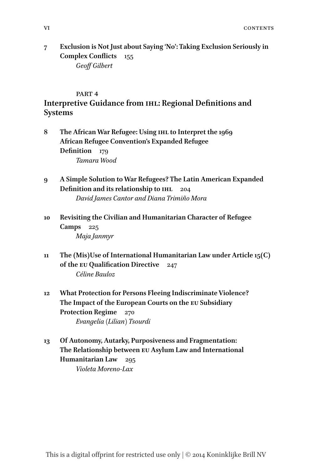**7 Exclusion is Not Just about Saying 'No': Taking Exclusion Seriously in Complex Conflicts** 155 *Geoff Gilbert*

#### PART<sub>4</sub>

# **Interpretive Guidance from ihl: Regional Definitions and Systems**

- **8 The African War Refugee: Using ihl to Interpret the 1969 African Refugee Convention's Expanded Refugee Definition** 179 *Tamara Wood*
- **9 A Simple Solution to War Refugees? The Latin American Expanded Definition and its relationship to ihl** 204 *David James Cantor and Diana Trimiño Mora*
- **10 Revisiting the Civilian and Humanitarian Character of Refugee Camps** 225 *Maja Janmyr*
- **11 The (Mis)Use of International Humanitarian Law under Article 15(C) of the eu Qualification Directive** 247 *Céline Bauloz*
- **12 What Protection for Persons Fleeing Indiscriminate Violence? The Impact of the European Courts on the eu Subsidiary Protection Regime** 270 *Evangelia (Lilian) Tsourdi*
- **13 Of Autonomy, Autarky, Purposiveness and Fragmentation: The Relationship between eu Asylum Law and International Humanitarian Law** 295 *Violeta Moreno-Lax*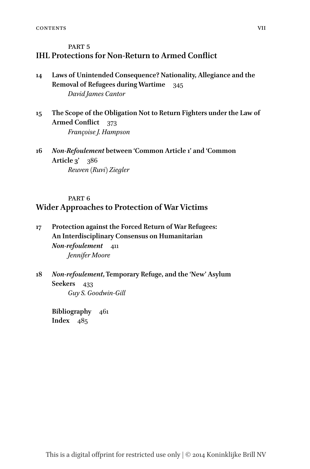# PART<sub>5</sub> **IHL Protections for Non-Return to Armed Conflict**

- **14 Laws of Unintended Consequence? Nationality, Allegiance and the Removal of Refugees during Wartime** 345 *David James Cantor*
- **15 The Scope of the Obligation Not to Return Fighters under the Law of Armed Conflict** 373 *Françoise J. Hampson*
- **16** *Non***-***Refoulement* **between 'Common Article 1' and 'Common Article 3'** 386 *Reuven (Ruvi) Ziegler*

#### PART<sub>6</sub>

# **Wider Approaches to Protection of War Victims**

- **17 Protection against the Forced Return of War Refugees: An Interdisciplinary Consensus on Humanitarian**  *Non-refoulement* 411 *Jennifer Moore*
- **18** *Non***-***refoulement***, Temporary Refuge, and the 'New' Asylum Seekers** 433 *Guy S. Goodwin-Gill*

**Bibliography** 461 **Index** 485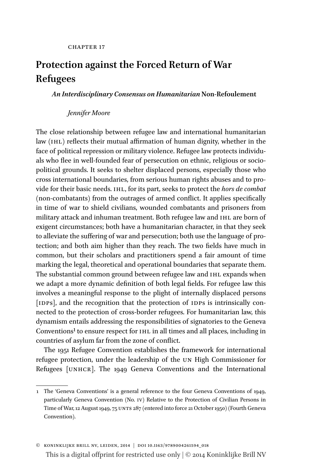# **Protection against the Forced Return of War Refugees**

#### *An Interdisciplinary Consensus on Humanitarian* **Non-Refoulement**

#### *Jennifer Moore*

The close relationship between refugee law and international humanitarian law (ihl) reflects their mutual affirmation of human dignity, whether in the face of political repression or military violence. Refugee law protects individuals who flee in well-founded fear of persecution on ethnic, religious or sociopolitical grounds. It seeks to shelter displaced persons, especially those who cross international boundaries, from serious human rights abuses and to provide for their basic needs. ihl, for its part, seeks to protect the *hors de combat* (non-combatants) from the outrages of armed conflict. It applies specifically in time of war to shield civilians, wounded combatants and prisoners from military attack and inhuman treatment. Both refugee law and ihl are born of exigent circumstances; both have a humanitarian character, in that they seek to alleviate the suffering of war and persecution; both use the language of protection; and both aim higher than they reach. The two fields have much in common, but their scholars and practitioners spend a fair amount of time marking the legal, theoretical and operational boundaries that separate them. The substantial common ground between refugee law and IHL expands when we adapt a more dynamic definition of both legal fields. For refugee law this involves a meaningful response to the plight of internally displaced persons [IDPs], and the recognition that the protection of IDPs is intrinsically connected to the protection of cross-border refugees. For humanitarian law, this dynamism entails addressing the responsibilities of signatories to the Geneva Conventions<sup>1</sup> to ensure respect for IHL in all times and all places, including in countries of asylum far from the zone of conflict.

The 1951 Refugee Convention establishes the framework for international refugee protection, under the leadership of the un High Commissioner for Refugees [UNHCR]. The 1949 Geneva Conventions and the International

<sup>1</sup> The 'Geneva Conventions' is a general reference to the four Geneva Conventions of 1949, particularly Geneva Convention (No. IV) Relative to the Protection of Civilian Persons in Time of War, 12 August 1949, 75 UNTS 287 (entered into force 21 October 1950) (Fourth Geneva Convention).

This is a digital offprint for restricted use only | © 2014 Koninklijke Brill NV © koninklijke brill nv, leiden, 2014 | doi 10.1163/9789004261594\_018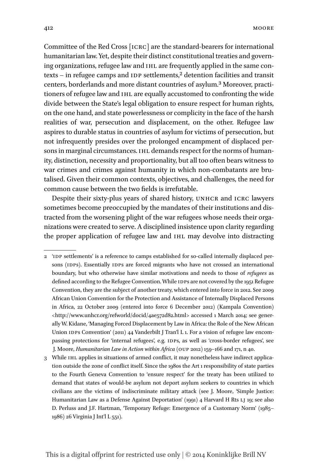Committee of the Red Cross [ICRC] are the standard-bearers for international humanitarian law. Yet, despite their distinct constitutional treaties and governing organizations, refugee law and IHL are frequently applied in the same contexts – in refugee camps and IDP settlements,<sup>2</sup> detention facilities and transit centers, borderlands and more distant countries of asylum.3 Moreover, practitioners of refugee law and IHL are equally accustomed to confronting the wide divide between the State's legal obligation to ensure respect for human rights, on the one hand, and state powerlessness or complicity in the face of the harsh realities of war, persecution and displacement, on the other. Refugee law aspires to durable status in countries of asylum for victims of persecution, but not infrequently presides over the prolonged encampment of displaced persons in marginal circumstances. IHL demands respect for the norms of humanity, distinction, necessity and proportionality, but all too often bears witness to war crimes and crimes against humanity in which non-combatants are brutalised. Given their common contexts, objectives, and challenges, the need for common cause between the two fields is irrefutable.

Despite their sixty-plus years of shared history, UNHCR and ICRC lawyers sometimes become preoccupied by the mandates of their institutions and distracted from the worsening plight of the war refugees whose needs their organizations were created to serve. A disciplined insistence upon clarity regarding the proper application of refugee law and IHL may devolve into distracting

<sup>2</sup> 'IDP settlements' is a reference to camps established for so-called internally displaced persons (IDPs). Essentially IDPs are forced migrants who have not crossed an international boundary, but who otherwise have similar motivations and needs to those of *refugees* as defined according to the Refugee Convention. While IDPs are not covered by the 1951 Refugee Convention, they are the subject of another treaty, which entered into force in 2012. See 2009 African Union Convention for the Protection and Assistance of Internally Displaced Persons in Africa, 22 October 2009 (entered into force 6 December 2012) (Kampala Convention) [<http://www.unhcr.org/refworld/docid/4ae572d82.html>](http://www.unhcr.org/refworld/docid/4ae572d82.html) accessed 1 March 2014; see generally W. Kidane, 'Managing Forced Displacement by Law in Africa: the Role of the New African Union IDPs Convention' (2011) 44 Vanderbilt J Tran'l L 1. For a vision of refugee law encompassing protections for 'internal refugees', e.g. IDPs, as well as 'cross-border refugees', see J. Moore, *Humanitarian Law in Action within Africa* (oup 2012) 159–166 and 171, n 40.

<sup>3</sup> While ihl applies in situations of armed conflict, it may nonetheless have indirect application outside the zone of conflict itself. Since the 1980s the Art 1 responsibility of state parties to the Fourth Geneva Convention to 'ensure respect' for the treaty has been utilized to demand that states of would-be asylum not deport asylum seekers to countries in which civilians are the victims of indiscriminate military attack (see J. Moore, 'Simple Justice: Humanitarian Law as a Defense Against Deportation' (1991) 4 Harvard H Rts LJ 19; see also D. Perluss and J.F. Hartman, 'Temporary Refuge: Emergence of a Customary Norm' (1985– 1986) 26 Virginia J Int'l L 551).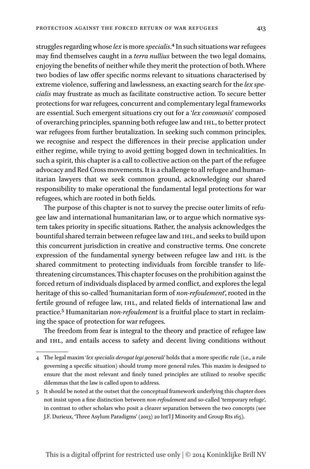struggles regarding whose *lex* is more *specialis*.4 In such situations war refugees may find themselves caught in a *terra nullius* between the two legal domains, enjoying the benefits of neither while they merit the protection of both. Where two bodies of law offer specific norms relevant to situations characterised by extreme violence, suffering and lawlessness, an exacting search for the *lex specialis* may frustrate as much as facilitate constructive action. To secure better protections for war refugees, concurrent and complementary legal frameworks are essential. Such emergent situations cry out for a '*lex communis*' composed of overarching principles, spanning both refugee law and ihl, to better protect war refugees from further brutalization. In seeking such common principles, we recognise and respect the differences in their precise application under either regime, while trying to avoid getting bogged down in technicalities. In such a spirit, this chapter is a call to collective action on the part of the refugee advocacy and Red Cross movements. It is a challenge to all refugee and humanitarian lawyers that we seek common ground, acknowledging our shared responsibility to make operational the fundamental legal protections for war refugees, which are rooted in both fields.

The purpose of this chapter is not to survey the precise outer limits of refugee law and international humanitarian law, or to argue which normative system takes priority in specific situations. Rather, the analysis acknowledges the bountiful shared terrain between refugee law and IHL, and seeks to build upon this concurrent jurisdiction in creative and constructive terms. One concrete expression of the fundamental synergy between refugee law and IHL is the shared commitment to protecting individuals from forcible transfer to lifethreatening circumstances. This chapter focuses on the prohibition against the forced return of individuals displaced by armed conflict, and explores the legal heritage of this so-called 'humanitarian form of *non-refoulement*', rooted in the fertile ground of refugee law, IHL, and related fields of international law and practice.5 Humanitarian *non-refoulement* is a fruitful place to start in reclaiming the space of protection for war refugees.

The freedom from fear is integral to the theory and practice of refugee law and IHL, and entails access to safety and decent living conditions without

<sup>4</sup> The legal maxim '*lex specialis derogat legi generali'* holds that a more specific rule (i.e., a rule governing a specific situation) should trump more general rules. This maxim is designed to ensure that the most relevant and finely tuned principles are utilized to resolve specific dilemmas that the law is called upon to address.

<sup>5</sup> It should be noted at the outset that the conceptual framework underlying this chapter does not insist upon a fine distinction between *non-refoulement* and so-called 'temporary refuge', in contrast to other scholars who posit a clearer separation between the two concepts (see J.F. Durieux, 'Three Asylum Paradigms' (2013) 20 Int'l J Minority and Group Rts 165).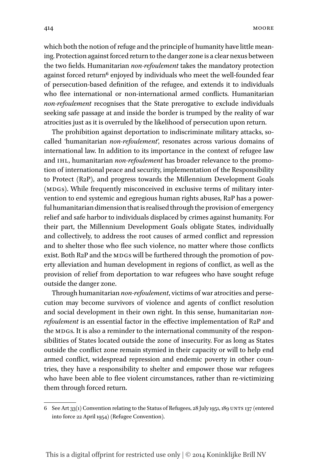which both the notion of refuge and the principle of humanity have little meaning. Protection against forced return to the danger zone is a clear nexus between the two fields. Humanitarian *non-refoulement* takes the mandatory protection against forced return<sup>6</sup> enjoyed by individuals who meet the well-founded fear of persecution-based definition of the refugee, and extends it to individuals who flee international or non-international armed conflicts. Humanitarian *non-refoulement* recognises that the State prerogative to exclude individuals seeking safe passage at and inside the border is trumped by the reality of war atrocities just as it is overruled by the likelihood of persecution upon return.

The prohibition against deportation to indiscriminate military attacks, socalled 'humanitarian *non-refoulement*', resonates across various domains of international law. In addition to its importance in the context of refugee law and IHL, humanitarian *non-refoulement* has broader relevance to the promotion of international peace and security, implementation of the Responsibility to Protect (R2P), and progress towards the Millennium Development Goals (MDGs). While frequently misconceived in exclusive terms of military intervention to end systemic and egregious human rights abuses, R2P has a powerful humanitarian dimension that is realised through the provision of emergency relief and safe harbor to individuals displaced by crimes against humanity. For their part, the Millennium Development Goals obligate States, individually and collectively, to address the root causes of armed conflict and repression and to shelter those who flee such violence, no matter where those conflicts exist. Both R2P and the MDGs will be furthered through the promotion of poverty alleviation and human development in regions of conflict, as well as the provision of relief from deportation to war refugees who have sought refuge outside the danger zone.

Through humanitarian *non-refoulement*, victims of war atrocities and persecution may become survivors of violence and agents of conflict resolution and social development in their own right. In this sense, humanitarian *nonrefoulement* is an essential factor in the effective implementation of R2P and the mpgs. It is also a reminder to the international community of the responsibilities of States located outside the zone of insecurity. For as long as States outside the conflict zone remain stymied in their capacity or will to help end armed conflict, widespread repression and endemic poverty in other countries, they have a responsibility to shelter and empower those war refugees who have been able to flee violent circumstances, rather than re-victimizing them through forced return.

<sup>6</sup> See Art 33(1) Convention relating to the Status of Refugees, 28 July 1951, 189 UNTS 137 (entered into force 22 April 1954) (Refugee Convention).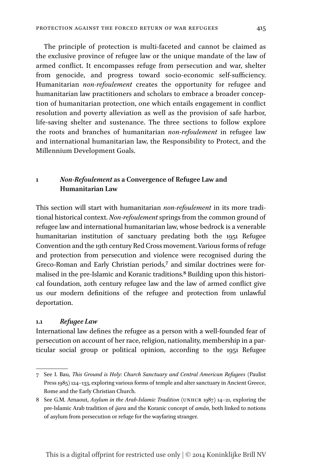The principle of protection is multi-faceted and cannot be claimed as the exclusive province of refugee law or the unique mandate of the law of armed conflict. It encompasses refuge from persecution and war, shelter from genocide, and progress toward socio-economic self-sufficiency. Humanitarian *non-refoulement* creates the opportunity for refugee and humanitarian law practitioners and scholars to embrace a broader conception of humanitarian protection, one which entails engagement in conflict resolution and poverty alleviation as well as the provision of safe harbor, life-saving shelter and sustenance. The three sections to follow explore the roots and branches of humanitarian *non-refoulement* in refugee law and international humanitarian law, the Responsibility to Protect, and the Millennium Development Goals.

# **1** *Non-Refoulement* **as a Convergence of Refugee Law and Humanitarian Law**

This section will start with humanitarian *non-refoulement* in its more traditional historical context. *Non-refoulement* springs from the common ground of refugee law and international humanitarian law, whose bedrock is a venerable humanitarian institution of sanctuary predating both the 1951 Refugee Convention and the 19th century Red Cross movement. Various forms of refuge and protection from persecution and violence were recognised during the Greco-Roman and Early Christian periods,<sup>7</sup> and similar doctrines were formalised in the pre-Islamic and Koranic traditions.8 Building upon this historical foundation, 20th century refugee law and the law of armed conflict give us our modern definitions of the refugee and protection from unlawful deportation.

#### **1.1** *Refugee Law*

International law defines the refugee as a person with a well-founded fear of persecution on account of her race, religion, nationality, membership in a particular social group or political opinion, according to the 1951 Refugee

<sup>7</sup> See I. Bau, *This Ground is Holy: Church Sanctuary and Central American Refugees* (Paulist Press 1985) 124–133, exploring various forms of temple and alter sanctuary in Ancient Greece, Rome and the Early Christian Church.

<sup>8</sup> See G.M. Arnaout, *Asylum in the Arab-Islamic Tradition* (unhcr 1987) 14–21, exploring the pre-Islamic Arab tradition of *ijara* and the Koranic concept of *amân*, both linked to notions of asylum from persecution or refuge for the wayfaring stranger.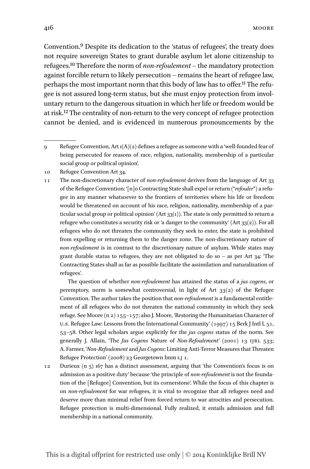Convention.9 Despite its dedication to the 'status of refugees', the treaty does not require sovereign States to grant durable asylum let alone citizenship to refugees.10 Therefore the norm of *non-refoulement* – the mandatory protection against forcible return to likely persecution – remains the heart of refugee law, perhaps the most important norm that this body of law has to offer.<sup>11</sup> The refugee is not assured long-term status, but she must enjoy protection from involuntary return to the dangerous situation in which her life or freedom would be at risk.12 The centrality of non-return to the very concept of refugee protection cannot be denied, and is evidenced in numerous pronouncements by the

- 10 Refugee Convention Art 34.
- 11 The non-discretionary character of *non-refoulement* derives from the language of Art 33 of the Refugee Convention: '[n]o Contracting State shall expel or return ("*refouler*") a refugee in any manner whatsoever to the frontiers of territories where his life or freedom would be threatened on account of his race, religion, nationality, membership of a particular social group or political opinion' (Art  $33(1)$ ). The state is only permitted to return a refugee who constitutes a security risk or 'a danger to the community' (Art  $33(2)$ ). For all refugees who do not threaten the community they seek to enter, the state is prohibited from expelling or returning them to the danger zone. The non-discretionary nature of *non-refoulement* is in contrast to the discretionary nature of asylum. While states may grant durable status to refugees, they are not obligated to do so – as per Art 34: 'The Contracting States shall as far as possible facilitate the assimilation and naturalization of refugees'.

The question of whether *non-refoulement* has attained the status of a *jus cogens*, or peremptory, norm is somewhat controversial, in light of Art  $33(2)$  of the Refugee Convention. The author takes the position that *non-refoulement* is a fundamental entitlement of all refugees who do not threaten the national community in which they seek refuge. See Moore (n 2) 155–157; also J. Moore, 'Restoring the Humanitarian Character of U.S. Refugee Law: Lessons from the International Community' (1997) 15 Berk J Intl L 51, 53–58. Other legal scholars argue explicitly for the *jus cogens* status of the norm. See generally J. Allain, 'The *Jus Cogens* Nature of *Non-Refoulement'* (2001) 13 IJRL 533; A. Farmer, '*Non-Refoulement* and *Jus Cogens*: Limiting Anti-Terror Measures that Threaten Refugee Protection' (2008) 23 Georgetown Imm LJ 1.

12 Durieux (n 5) 167 has a distinct assessment, arguing that 'the Convention's focus is on admission as a positive duty' because 'the principle of *non-refoulement* is not the foundation of the [Refugee] Convention, but its cornerstone'. While the focus of this chapter is on *non-refoulement* for war refugees, it is vital to recognize that all refugees need and deserve more than minimal relief from forced return to war atrocities and persecution. Refugee protection is multi-dimensional. Fully realized, it entails admission and full membership in a national community.

<sup>9</sup> Refugee Convention,  $Art1(A)(2)$  defines a refugee as someone with a 'well-founded fear of being persecuted for reasons of race, religion, nationality, membership of a particular social group or political opinion'.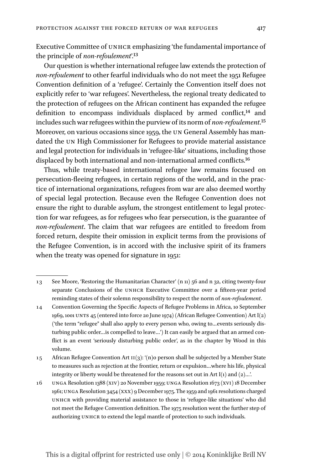Executive Committee of UNHCR emphasizing 'the fundamental importance of the principle of *non-refoulement*'.13

Our question is whether international refugee law extends the protection of *non-refoulement* to other fearful individuals who do not meet the 1951 Refugee Convention definition of a 'refugee'. Certainly the Convention itself does not explicitly refer to 'war refugees'. Nevertheless, the regional treaty dedicated to the protection of refugees on the African continent has expanded the refugee definition to encompass individuals displaced by armed conflict,<sup>14</sup> and includes such war refugees within the purview of its norm of *non-refoulement*.15 Moreover, on various occasions since 1959, the un General Assembly has mandated the un High Commissioner for Refugees to provide material assistance and legal protection for individuals in 'refugee-like' situations, including those displaced by both international and non-international armed conflicts.<sup>16</sup>

Thus, while treaty-based international refugee law remains focused on persecution-fleeing refugees, in certain regions of the world, and in the practice of international organizations, refugees from war are also deemed worthy of special legal protection. Because even the Refugee Convention does not ensure the right to durable asylum, the strongest entitlement to legal protection for war refugees, as for refugees who fear persecution, is the guarantee of *non-refoulement*. The claim that war refugees are entitled to freedom from forced return, despite their omission in explicit terms from the provisions of the Refugee Convention, is in accord with the inclusive spirit of its framers when the treaty was opened for signature in 1951:

<sup>13</sup> See Moore, 'Restoring the Humanitarian Character' (n 11) 56 and n 32, citing twenty-four separate Conclusions of the UNHCR Executive Committee over a fifteen-year period reminding states of their solemn responsibility to respect the norm of *non-refoulement*.

<sup>14</sup> Convention Governing the Specific Aspects of Refugee Problems in Africa, 10 September 1969, 1001 UNTS 45 (entered into force 20 June 1974) (African Refugee Convention) Art I(2) ('the term "refugee" shall also apply to every person who, owing to…events seriously disturbing public order…is compelled to leave…') It can easily be argued that an armed conflict is an event 'seriously disturbing public order', as in the chapter by Wood in this volume.

<sup>15</sup> African Refugee Convention Art  $I(3)$ : '(n)o person shall be subjected by a Member State to measures such as rejection at the frontier, return or expulsion…where his life, physical integrity or liberty would be threatened for the reasons set out in Art  $I(1)$  and  $(2)...$ .

<sup>16</sup> unga Resolution 1388 (XIV) 20 November 1959; unga Resolution 1673 (XVI) 18 December 1961; unga Resolution 3454 (XXX) 9 December 1975. The 1959 and 1961 resolutions charged unhcr with providing material assistance to those in 'refugee-like situations' who did not meet the Refugee Convention definition. The 1975 resolution went the further step of authorizing UNHCR to extend the legal mantle of protection to such individuals.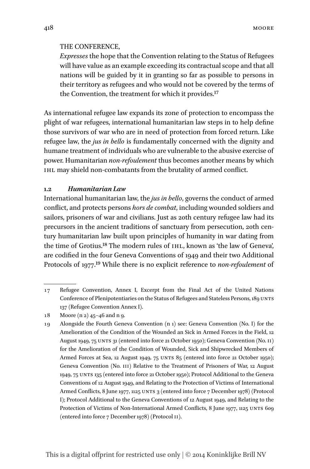#### THE CONFERENCE,

*Expresses* the hope that the Convention relating to the Status of Refugees will have value as an example exceeding its contractual scope and that all nations will be guided by it in granting so far as possible to persons in their territory as refugees and who would not be covered by the terms of the Convention, the treatment for which it provides.17

As international refugee law expands its zone of protection to encompass the plight of war refugees, international humanitarian law steps in to help define those survivors of war who are in need of protection from forced return. Like refugee law, the *jus in bello* is fundamentally concerned with the dignity and humane treatment of individuals who are vulnerable to the abusive exercise of power. Humanitarian *non-refoulement* thus becomes another means by which IHL may shield non-combatants from the brutality of armed conflict.

#### **1.2** *Humanitarian Law*

International humanitarian law, the *jus in bello*, governs the conduct of armed conflict, and protects persons *hors de combat*, including wounded soldiers and sailors, prisoners of war and civilians. Just as 20th century refugee law had its precursors in the ancient traditions of sanctuary from persecution, 20th century humanitarian law built upon principles of humanity in war dating from the time of Grotius.18 The modern rules of ihl, known as 'the law of Geneva', are codified in the four Geneva Conventions of 1949 and their two Additional Protocols of 1977.19 While there is no explicit reference to *non-refoulement* of

<sup>17</sup> Refugee Convention, Annex I, Excerpt from the Final Act of the United Nations Conference of Plenipotentiaries on the Status of Refugees and Stateless Persons, 189 UNTS 137 (Refugee Convention Annex I).

<sup>18</sup> Moore (n 2) 45–46 and n 9.

<sup>19</sup> Alongside the Fourth Geneva Convention (n 1) see: Geneva Convention (No. I) for the Amelioration of the Condition of the Wounded an Sick in Armed Forces in the Field, 12 August 1949, 75 UNTS 31 (entered into force 21 October 1950); Geneva Convention (No. II) for the Amelioration of the Condition of Wounded, Sick and Shipwrecked Members of Armed Forces at Sea, 12 August 1949, 75 UNTS 85 (entered into force 21 October 1950); Geneva Convention (No. III) Relative to the Treatment of Prisoners of War, 12 August 1949, 75 UNTS 135 (entered into force 21 October 1950); Protocol Additional to the Geneva Conventions of 12 August 1949, and Relating to the Protection of Victims of International Armed Conflicts, 8 June 1977, 1125 UNTS 3 (entered into force 7 December 1978) (Protocol I); Protocol Additional to the Geneva Conventions of 12 August 1949, and Relating to the Protection of Victims of Non-International Armed Conflicts, 8 June 1977, 1125 UNTS 609 (entered into force 7 December 1978) (Protocol II).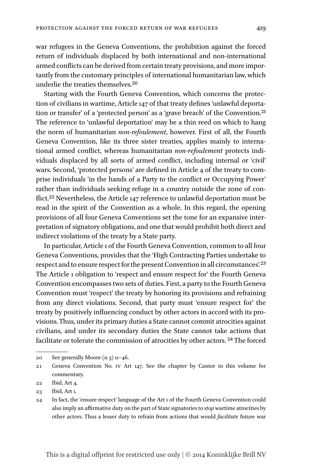war refugees in the Geneva Conventions, the prohibition against the forced return of individuals displaced by both international and non-international armed conflicts can be derived from certain treaty provisions, and more importantly from the customary principles of international humanitarian law, which underlie the treaties themselves.20

Starting with the Fourth Geneva Convention, which concerns the protection of civilians in wartime, Article 147 of that treaty defines 'unlawful deportation or transfer' of a 'protected person' as a 'grave breach' of the Convention.<sup>21</sup> The reference to 'unlawful deportation' may be a thin reed on which to hang the norm of humanitarian *non-refoulement*, however. First of all, the Fourth Geneva Convention, like its three sister treaties, applies mainly to international armed conflict, whereas humanitarian *non-refoulement* protects individuals displaced by all sorts of armed conflict, including internal or 'civil' wars. Second, 'protected persons' are defined in Article 4 of the treaty to comprise individuals 'in the hands of a Party to the conflict or Occupying Power' rather than individuals seeking refuge in a country outside the zone of conflict.<sup>22</sup> Nevertheless, the Article 147 reference to unlawful deportation must be read in the spirit of the Convention as a whole. In this regard, the opening provisions of all four Geneva Conventions set the tone for an expansive interpretation of signatory obligations, and one that would prohibit both direct and indirect violations of the treaty by a State party.

In particular, Article 1 of the Fourth Geneva Convention, common to all four Geneva Conventions, provides that the 'High Contracting Parties undertake to respect and to ensure respect for the present Convention in all circumstances'.<sup>23</sup> The Article 1 obligation to 'respect and ensure respect for' the Fourth Geneva Convention encompasses two sets of duties. First, a party to the Fourth Geneva Convention must 'respect' the treaty by honoring its provisions and refraining from any direct violations. Second, that party must 'ensure respect for' the treaty by positively influencing conduct by other actors in accord with its provisions. Thus, under its primary duties a State cannot commit atrocities against civilians, and under its secondary duties the State cannot take actions that facilitate or tolerate the commission of atrocities by other actors. 24 The forced

<sup>20</sup> See generally Moore (n 3) 11–46.

<sup>21</sup> Geneva Convention No. IV Art 147. See the chapter by Cantor in this volume for commentary.

<sup>22</sup> Ibid, Art 4.

<sup>23</sup> Ibid, Art 1.

<sup>24</sup> In fact, the 'ensure respect' language of the Art 1 of the Fourth Geneva Convention could also imply an affirmative duty on the part of State signatories to *stop* wartime atrocities by other actors. Thus a lesser duty to refrain from actions that would *facilitate* future war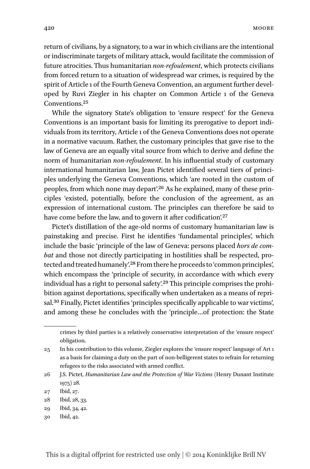return of civilians, by a signatory, to a war in which civilians are the intentional or indiscriminate targets of military attack, would facilitate the commission of future atrocities. Thus humanitarian *non-refoulement*, which protects civilians from forced return to a situation of widespread war crimes, is required by the spirit of Article 1 of the Fourth Geneva Convention, an argument further developed by Ruvi Ziegler in his chapter on Common Article 1 of the Geneva Conventions.25

While the signatory State's obligation to 'ensure respect' for the Geneva Conventions is an important basis for limiting its prerogative to deport individuals from its territory, Article 1 of the Geneva Conventions does not operate in a normative vacuum. Rather, the customary principles that gave rise to the law of Geneva are an equally vital source from which to derive and define the norm of humanitarian *non-refoulement*. In his influential study of customary international humanitarian law, Jean Pictet identified several tiers of principles underlying the Geneva Conventions, which 'are rooted in the custom of peoples, from which none may depart'.26 As he explained, many of these principles 'existed, potentially, before the conclusion of the agreement, as an expression of international custom. The principles can therefore be said to have come before the law, and to govern it after codification'.<sup>27</sup>

Pictet's distillation of the age-old norms of customary humanitarian law is painstaking and precise. First he identifies 'fundamental principles', which include the basic 'principle of the law of Geneva: persons placed *hors de combat* and those not directly participating in hostilities shall be respected, protected and treated humanely'.28 From there he proceeds to 'common principles', which encompass the 'principle of security, in accordance with which every individual has a right to personal safety'.<sup>29</sup> This principle comprises the prohibition against deportations, specifically when undertaken as a means of reprisal.30 Finally, Pictet identifies 'principles specifically applicable to war victims', and among these he concludes with the 'principle…of protection: the State

crimes by third parties is a relatively conservative interpretation of the 'ensure respect' obligation.

<sup>25</sup> In his contribution to this volume, Ziegler explores the 'ensure respect' language of Art 1 as a basis for claiming a duty on the part of non-belligerent states to refrain for returning refugees to the risks associated with armed conflict.

<sup>26</sup> J.S. Pictet, *Humanitarian Law and the Protection of War Victims* (Henry Dunant Institute 1975) 28.

<sup>27</sup> Ibid, 27.

<sup>28</sup> Ibid, 28, 33.

<sup>29</sup> Ibid, 34, 42.

<sup>30</sup> Ibid, 42.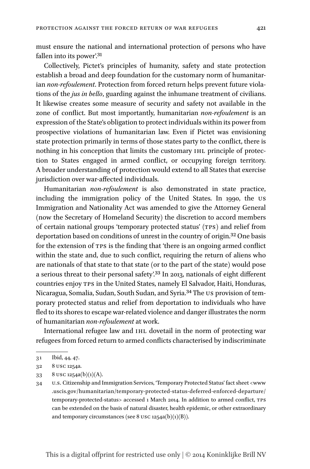must ensure the national and international protection of persons who have fallen into its power'.<sup>31</sup>

Collectively, Pictet's principles of humanity, safety and state protection establish a broad and deep foundation for the customary norm of humanitarian *non-refoulement*. Protection from forced return helps prevent future violations of the *jus in bello*, guarding against the inhumane treatment of civilians. It likewise creates some measure of security and safety not available in the zone of conflict. But most importantly, humanitarian *non-refoulement* is an expression of the State's obligation to protect individuals within its power from prospective violations of humanitarian law. Even if Pictet was envisioning state protection primarily in terms of those states party to the conflict, there is nothing in his conception that limits the customary ihl principle of protection to States engaged in armed conflict, or occupying foreign territory. A broader understanding of protection would extend to all States that exercise jurisdiction over war-affected individuals.

Humanitarian *non-refoulement* is also demonstrated in state practice, including the immigration policy of the United States. In 1990, the us Immigration and Nationality Act was amended to give the Attorney General (now the Secretary of Homeland Security) the discretion to accord members of certain national groups 'temporary protected status' (TPS) and relief from deportation based on conditions of unrest in the country of origin.32 One basis for the extension of tps is the finding that 'there is an ongoing armed conflict within the state and, due to such conflict, requiring the return of aliens who are nationals of that state to that state (or to the part of the state) would pose a serious threat to their personal safety'.33 In 2013, nationals of eight different countries enjoy TPS in the United States, namely El Salvador, Haiti, Honduras, Nicaragua, Somalia, Sudan, South Sudan, and Syria.<sup>34</sup> The US provision of temporary protected status and relief from deportation to individuals who have fled to its shores to escape war-related violence and danger illustrates the norm of humanitarian *non-refoulement* at work.

International refugee law and IHL dovetail in the norm of protecting war refugees from forced return to armed conflicts characterised by indiscriminate

<sup>31</sup> Ibid, 44, 47.

<sup>32</sup> 8 USC 1254a.

<sup>33 8</sup> USC 1254a(b)(1)(A).

<sup>34</sup> U.S. Citizenship and Immigration Services, 'Temporary Protected Status' fact sheet [<www](http://www.uscis.gov/humanitarian/temporary-protected-status-deferred-enforced-departure/temporary-protected-status) [.uscis.gov/humanitarian/temporary-protected-status-deferred-enforced-departure/](http://www.uscis.gov/humanitarian/temporary-protected-status-deferred-enforced-departure/temporary-protected-status) [temporary-protected-status>](http://www.uscis.gov/humanitarian/temporary-protected-status-deferred-enforced-departure/temporary-protected-status) accessed 1 March 2014. In addition to armed conflict, tps can be extended on the basis of natural disaster, health epidemic, or other extraordinary and temporary circumstances (see 8 USC 1254a(b)(1)(B)).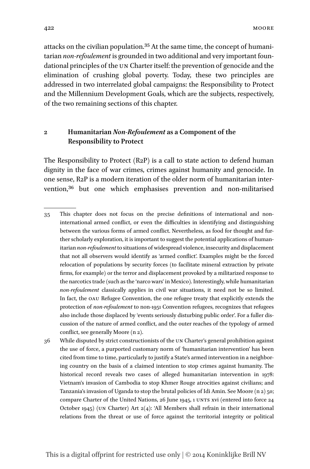attacks on the civilian population.35 At the same time, the concept of humanitarian *non-refoulement* is grounded in two additional and very important foundational principles of the un Charter itself: the prevention of genocide and the elimination of crushing global poverty. Today, these two principles are addressed in two interrelated global campaigns: the Responsibility to Protect and the Millennium Development Goals, which are the subjects, respectively, of the two remaining sections of this chapter.

#### **2 Humanitarian** *Non-Refoulement* **as a Component of the Responsibility to Protect**

The Responsibility to Protect  $(R_2P)$  is a call to state action to defend human dignity in the face of war crimes, crimes against humanity and genocide. In one sense, R2P is a modern iteration of the older norm of humanitarian intervention,36 but one which emphasises prevention and non-militarised

<sup>35</sup> This chapter does not focus on the precise definitions of international and noninternational armed conflict, or even the difficulties in identifying and distinguishing between the various forms of armed conflict. Nevertheless, as food for thought and further scholarly exploration, it is important to suggest the potential applications of humanitarian *non-refoulement* to situations of widespread violence, insecurity and displacement that not all observers would identify as 'armed conflict'. Examples might be the forced relocation of populations by security forces (to facilitate mineral extraction by private firms, for example) or the terror and displacement provoked by a militarized response to the narcotics trade (such as the 'narco wars' in Mexico). Interestingly, while humanitarian *non-refoulement* classically applies in civil war situations, it need not be so limited. In fact, the oau Refugee Convention, the one refugee treaty that explicitly extends the protection of *non-refoulement* to non-1951 Convention refugees, recognizes that refugees also include those displaced by 'events seriously disturbing public order'. For a fuller discussion of the nature of armed conflict, and the outer reaches of the typology of armed conflict, see generally Moore (n 2).

<sup>36</sup> While disputed by strict constructionists of the un Charter's general prohibition against the use of force, a purported customary norm of 'humanitarian intervention' has been cited from time to time, particularly to justify a State's armed intervention in a neighboring country on the basis of a claimed intention to stop crimes against humanity. The historical record reveals two cases of alleged humanitarian intervention in 1978: Vietnam's invasion of Cambodia to stop Khmer Rouge atrocities against civilians; and Tanzania's invasion of Uganda to stop the brutal policies of Idi Amin. See Moore (n 2) 50; compare Charter of the United Nations, 26 June 1945, 1 UNTS xvi (entered into force 24 October 1945) (UN Charter) Art  $2(4)$ : 'All Members shall refrain in their international relations from the threat or use of force against the territorial integrity or political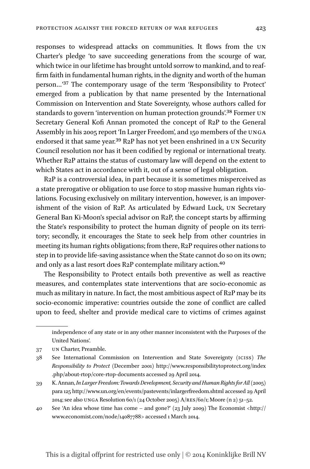responses to widespread attacks on communities. It flows from the un Charter's pledge 'to save succeeding generations from the scourge of war, which twice in our lifetime has brought untold sorrow to mankind, and to reaffirm faith in fundamental human rights, in the dignity and worth of the human person…'37 The contemporary usage of the term 'Responsibility to Protect' emerged from a publication by that name presented by the International Commission on Intervention and State Sovereignty, whose authors called for standards to govern 'intervention on human protection grounds'.<sup>38</sup> Former UN Secretary General Kofi Annan promoted the concept of R2P to the General Assembly in his 2005 report 'In Larger Freedom', and 150 members of the unga endorsed it that same year.<sup>39</sup> R<sub>2</sub>P has not yet been enshrined in a UN Security Council resolution nor has it been codified by regional or international treaty. Whether R2P attains the status of customary law will depend on the extent to which States act in accordance with it, out of a sense of legal obligation.

R2P is a controversial idea, in part because it is sometimes misperceived as a state prerogative or obligation to use force to stop massive human rights violations. Focusing exclusively on military intervention, however, is an impoverishment of the vision of R2P. As articulated by Edward Luck, un Secretary General Ban Ki-Moon's special advisor on R2P, the concept starts by affirming the State's responsibility to protect the human dignity of people on its territory; secondly, it encourages the State to seek help from other countries in meeting its human rights obligations; from there, R2P requires other nations to step in to provide life-saving assistance when the State cannot do so on its own; and only as a last resort does R2P contemplate military action.40

The Responsibility to Protect entails both preventive as well as reactive measures, and contemplates state interventions that are socio-economic as much as military in nature. In fact, the most ambitious aspect of R2P may be its socio-economic imperative: countries outside the zone of conflict are called upon to feed, shelter and provide medical care to victims of crimes against

independence of any state or in any other manner inconsistent with the Purposes of the United Nations'.

<sup>37</sup> un Charter, Preamble.

<sup>38</sup> See International Commission on Intervention and State Sovereignty (iciss) *The Responsibility to Protect* (December 2001) [http://www.responsibilitytoprotect.org/index](http://www.responsibilitytoprotect.org/index.php/about-rtop/core-rtop-documents) [.php/about-rtop/core-rtop-documents](http://www.responsibilitytoprotect.org/index.php/about-rtop/core-rtop-documents) accessed 29 April 2014.

<sup>39</sup> K. Annan, *In Larger Freedom: Towards Development, Security and Human Rights for All* (2005) para 125<http://www.un.org/en/events/pastevents/inlargerfreedom.shtml>accessed 29 April 2014; see also unga Resolution 60/1 (24 October 2005) A/RES/60/1; Moore (n 2) 51–52.

<sup>40</sup> See 'An idea whose time has come – and gone?' (23 July 2009) The Economist [<http://](http://www.economist.com/node/14087788) [www.economist.com/node/14087788>](http://www.economist.com/node/14087788) accessed 1 March 2014.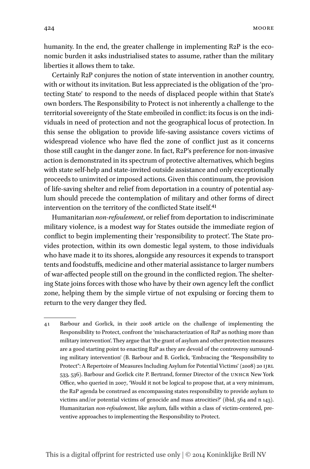humanity. In the end, the greater challenge in implementing R2P is the economic burden it asks industrialised states to assume, rather than the military liberties it allows them to take.

Certainly R2P conjures the notion of state intervention in another country, with or without its invitation. But less appreciated is the obligation of the 'protecting State' to respond to the needs of displaced people within that State's own borders. The Responsibility to Protect is not inherently a challenge to the territorial sovereignty of the State embroiled in conflict: its focus is on the individuals in need of protection and not the geographical locus of protection. In this sense the obligation to provide life-saving assistance covers victims of widespread violence who have fled the zone of conflict just as it concerns those still caught in the danger zone. In fact, R2P's preference for non-invasive action is demonstrated in its spectrum of protective alternatives, which begins with state self-help and state-invited outside assistance and only exceptionally proceeds to uninvited or imposed actions. Given this continuum, the provision of life-saving shelter and relief from deportation in a country of potential asylum should precede the contemplation of military and other forms of direct intervention on the territory of the conflicted State itself.<sup>41</sup>

Humanitarian *non-refoulement*, or relief from deportation to indiscriminate military violence, is a modest way for States outside the immediate region of conflict to begin implementing their 'responsibility to protect'. The State provides protection, within its own domestic legal system, to those individuals who have made it to its shores, alongside any resources it expends to transport tents and foodstuffs, medicine and other material assistance to larger numbers of war-affected people still on the ground in the conflicted region. The sheltering State joins forces with those who have by their own agency left the conflict zone, helping them by the simple virtue of not expulsing or forcing them to return to the very danger they fled.

41 Barbour and Gorlick, in their 2008 article on the challenge of implementing the Responsibility to Protect, confront the 'mischaracterization of R2P as nothing more than military intervention'. They argue that 'the grant of asylum and other protection measures are a good starting point to enacting R2P as they are devoid of the controversy surrounding military intervention' (B. Barbour and B. Gorlick, 'Embracing the "Responsibility to Protect": A Repertoire of Measures Including Asylum for Potential Victims' (2008) 20 IJRL 533, 536). Barbour and Gorlick cite P. Bertrand, former Director of the UNHCR New York Office, who queried in 2007, 'Would it not be logical to propose that, at a very minimum, the R2P agenda be construed as encompassing states responsibility to provide asylum to victims and/or potential victims of genocide and mass atrocities?' (ibid, 564 and n 143). Humanitarian *non-refoulement*, like asylum, falls within a class of victim-centered, preventive approaches to implementing the Responsibility to Protect.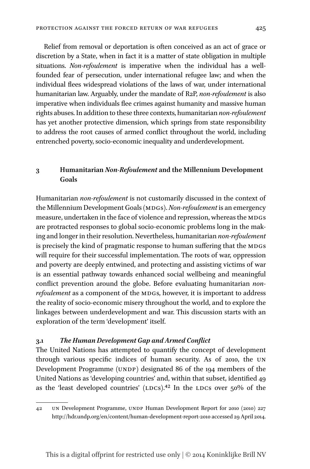Relief from removal or deportation is often conceived as an act of grace or discretion by a State, when in fact it is a matter of state obligation in multiple situations. *Non-refoulement* is imperative when the individual has a wellfounded fear of persecution, under international refugee law; and when the individual flees widespread violations of the laws of war, under international humanitarian law. Arguably, under the mandate of R2P, *non-refoulement* is also imperative when individuals flee crimes against humanity and massive human rights abuses. In addition to these three contexts, humanitarian *non-refoulement* has yet another protective dimension, which springs from state responsibility to address the root causes of armed conflict throughout the world, including entrenched poverty, socio-economic inequality and underdevelopment.

#### **3 Humanitarian** *Non-Refoulement* **and the Millennium Development Goals**

Humanitarian *non-refoulement* is not customarily discussed in the context of the Millennium Development Goals (MDGs). *Non-refoulement* is an emergency measure, undertaken in the face of violence and repression, whereas the MDGs are protracted responses to global socio-economic problems long in the making and longer in their resolution. Nevertheless, humanitarian *non-refoulement* is precisely the kind of pragmatic response to human suffering that the MDGs will require for their successful implementation. The roots of war, oppression and poverty are deeply entwined, and protecting and assisting victims of war is an essential pathway towards enhanced social wellbeing and meaningful conflict prevention around the globe. Before evaluating humanitarian *nonrefoulement* as a component of the MDGs, however, it is important to address the reality of socio-economic misery throughout the world, and to explore the linkages between underdevelopment and war. This discussion starts with an exploration of the term 'development' itself.

#### **3.1** *The Human Development Gap and Armed Conflict*

The United Nations has attempted to quantify the concept of development through various specific indices of human security. As of 2010, the un Development Programme (UNDP) designated 86 of the 194 members of the United Nations as 'developing countries' and, within that subset, identified 49 as the 'least developed countries'  $(LDCs)$ .<sup>42</sup> In the LDCs over 50% of the

<sup>42</sup> un Development Programme, UNDP Human Development Report for 2010 (2010) 227 [http://hdr.undp.org/en/content/human-development-report-2010 a](http://hdr.undp.org/en/content/human-development-report-2010)ccessed 29 April 2014.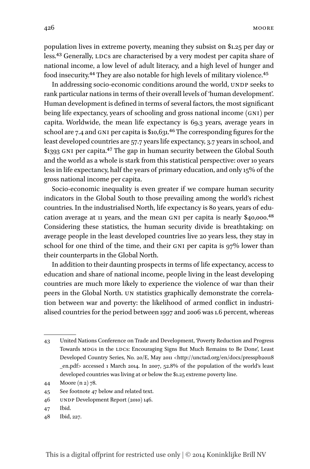population lives in extreme poverty, meaning they subsist on \$1.25 per day or less.<sup>43</sup> Generally, LDCs are characterised by a very modest per capita share of national income, a low level of adult literacy, and a high level of hunger and food insecurity.44 They are also notable for high levels of military violence.45

In addressing socio-economic conditions around the world, UNDP seeks to rank particular nations in terms of their overall levels of 'human development'. Human development is defined in terms of several factors, the most significant being life expectancy, years of schooling and gross national income (GNI) per capita. Worldwide, the mean life expectancy is 69.3 years, average years in school are 7.4 and GNI per capita is \$10,631.<sup>46</sup> The corresponding figures for the least developed countries are 57.7 years life expectancy, 3.7 years in school, and \$1393 GNI per capita.<sup>47</sup> The gap in human security between the Global South and the world as a whole is stark from this statistical perspective: over 10 years less in life expectancy, half the years of primary education, and only 15% of the gross national income per capita.

Socio-economic inequality is even greater if we compare human security indicators in the Global South to those prevailing among the world's richest countries. In the industrialised North, life expectancy is 80 years, years of education average at 11 years, and the mean GNI per capita is nearly  $$40,000$ .<sup>48</sup> Considering these statistics, the human security divide is breathtaking: on average people in the least developed countries live 20 years less, they stay in school for one third of the time, and their GNI per capita is 97% lower than their counterparts in the Global North.

In addition to their daunting prospects in terms of life expectancy, access to education and share of national income, people living in the least developing countries are much more likely to experience the violence of war than their peers in the Global North. un statistics graphically demonstrate the correlation between war and poverty: the likelihood of armed conflict in industrialised countries for the period between 1997 and 2006 was 1.6 percent, whereas

- 46 undp Development Report (2010) 146.
- 47 Ibid.
- 48 Ibid, 227.

<sup>43</sup> United Nations Conference on Trade and Development, 'Poverty Reduction and Progress Towards MDGs in the LDCs: Encouraging Signs But Much Remains to Be Done', Least Developed Country Series, No. 20/E, May 2011 [<http://unctad.org/en/docs/presspb20118](http://unctad.org/en/docs/presspb20118_en.pdf) [\\_en.pdf>](http://unctad.org/en/docs/presspb20118_en.pdf) accessed 1 March 2014. In 2007, 52.8% of the population of the world's least developed countries was living at or below the \$1.25 extreme poverty line.

<sup>44</sup> Moore (n 2) 78.

<sup>45</sup> See footnote 47 below and related text.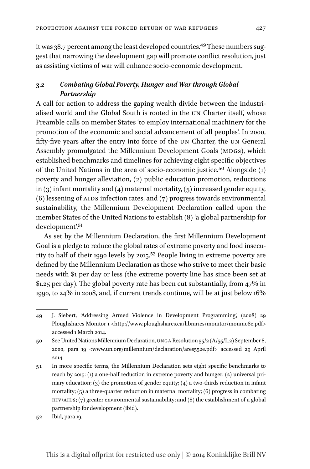it was 38.7 percent among the least developed countries.<sup>49</sup> These numbers suggest that narrowing the development gap will promote conflict resolution, just as assisting victims of war will enhance socio-economic development.

## **3.2** *Combating Global Poverty, Hunger and War through Global Partnership*

A call for action to address the gaping wealth divide between the industrialised world and the Global South is rooted in the un Charter itself, whose Preamble calls on member States 'to employ international machinery for the promotion of the economic and social advancement of all peoples'. In 2000, fifty-five years after the entry into force of the un Charter, the un General Assembly promulgated the Millennium Development Goals (MDGs), which established benchmarks and timelines for achieving eight specific objectives of the United Nations in the area of socio-economic justice.50 Alongside (1) poverty and hunger alleviation, (2) public education promotion, reductions in  $(3)$  infant mortality and  $(4)$  maternal mortality,  $(5)$  increased gender equity, (6) lessening of AIDS infection rates, and  $(7)$  progress towards environmental sustainability, the Millennium Development Declaration called upon the member States of the United Nations to establish (8) 'a global partnership for development'.51

As set by the Millennium Declaration, the first Millennium Development Goal is a pledge to reduce the global rates of extreme poverty and food insecurity to half of their 1990 levels by 2015.<sup>52</sup> People living in extreme poverty are defined by the Millennium Declaration as those who strive to meet their basic needs with \$1 per day or less (the extreme poverty line has since been set at \$1.25 per day). The global poverty rate has been cut substantially, from 47% in 1990, to 24% in 2008, and, if current trends continue, will be at just below 16%

<sup>49</sup> J. Siebert, 'Addressing Armed Violence in Development Programming', (2008) 29 Ploughshares Monitor 1 <http://www.ploughshares.ca/libraries/monitor/monmo8e.pdf> accessed 1 March 2014.

<sup>50</sup> See United Nations Millennium Declaration, unga Resolution 55/2 (A/55/L.2) September 8, 2000, para 19 [<www.un.org/millennium/declaration/ares552e.pdf>](http://www.un.org/millennium/declaration/ares552e.pdf) accessed 29 April 2014.

<sup>51</sup> In more specific terms, the Millennium Declaration sets eight specific benchmarks to reach by 2015: (1) a one-half reduction in extreme poverty and hunger: (2) universal primary education; (3) the promotion of gender equity; (4) a two-thirds reduction in infant mortality; (5) a three-quarter reduction in maternal mortality; (6) progress in combating  $HIV/ AIDS$ ; (7) greater environmental sustainability; and (8) the establishment of a global partnership for development (ibid).

<sup>52</sup> Ibid, para 19.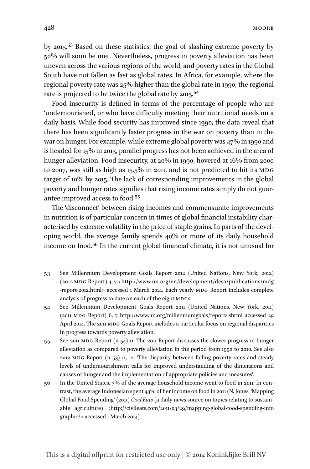by 2015.53 Based on these statistics, the goal of slashing extreme poverty by 50% will soon be met. Nevertheless, progress in poverty alleviation has been uneven across the various regions of the world, and poverty rates in the Global South have not fallen as fast as global rates. In Africa, for example, where the regional poverty rate was 25% higher than the global rate in 1990, the regional rate is projected to be twice the global rate by 2015.<sup>54</sup>

Food insecurity is defined in terms of the percentage of people who are 'undernourished', or who have difficulty meeting their nutritional needs on a daily basis. While food security has improved since 1990, the data reveal that there has been significantly faster progress in the war on poverty than in the war on hunger. For example, while extreme global poverty was 47% in 1990 and is headed for 15% in 2015, parallel progress has not been achieved in the area of hunger alleviation. Food insecurity, at 20% in 1990, hovered at 16% from 2000 to 2007, was still as high as  $15.5\%$  in 2011, and is not predicted to hit its MDG target of 10% by 2015. The lack of corresponding improvements in the global poverty and hunger rates signifies that rising income rates simply do not guarantee improved access to food.55

The 'disconnect' between rising incomes and commensurate improvements in nutrition is of particular concern in times of global financial instability characterised by extreme volatility in the price of staple grains. In parts of the developing world, the average family spends 40% or more of its daily household income on food.56 In the current global financial climate, it is not unusual for

<sup>53</sup> See Millennium Development Goals Report 2012 (United Nations, New York, 2012) (2012 MDG Report) 4, 7 [<http://www.un.org/en/development/desa/publications/mdg](http://www.un.org/en/development/desa/publications/mdg-report-2012.html) [-report-2012.html>](http://www.un.org/en/development/desa/publications/mdg-report-2012.html) accessed 1 March 2014. Each yearly MDG Report includes complete analysis of progress to date on each of the eight MDGs.

<sup>54</sup> See Millennium Development Goals Report 2011 (United Nations, New York, 2011) (2011 MDG Report) 6, 7 <http://www.un.org/millenniumgoals/reports.shtml>accessed 29 April 2014. The 2011 MDG Goals Report includes a particular focus on regional disparities in progress towards poverty alleviation.

<sup>55</sup> See 2011 MDG Report (n 54) 11. The 2011 Report discusses the slower progress in hunger alleviation as compared to poverty alleviation in the period from 1990 to 2010. See also 2012 MDG Report (n 53) 11, 12: 'The disparity between falling poverty rates and steady levels of undernourishment calls for improved understanding of the dimensions and causes of hunger and the implementation of appropriate policies and measures'.

<sup>56</sup> In the United States, 7% of the average household income went to food in 2011. In contrast, the average Indonesian spent 43% of her income on food in 2011 (N. Jones, 'Mapping Global Food Spending' (2011) *Civil Eats* (a daily news source on topics relating to sustainable agriculture) [<http://civileats.com/2011/03/29/mapping-global-food-spending-info](http://civileats.com/2011/03/29/mapping-global-food-spending-infographic/) [graphic/>](http://civileats.com/2011/03/29/mapping-global-food-spending-infographic/) accessed 1 March 2014).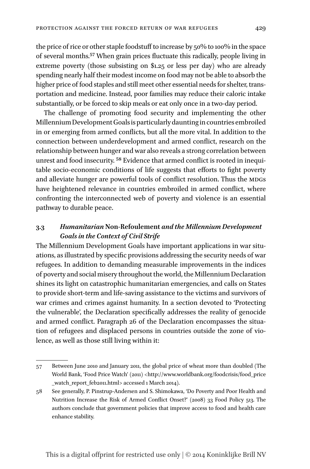the price of rice or other staple foodstuff to increase by 50% to 100% in the space of several months.57 When grain prices fluctuate this radically, people living in extreme poverty (those subsisting on \$1.25 or less per day) who are already spending nearly half their modest income on food may not be able to absorb the higher price of food staples and still meet other essential needs for shelter, transportation and medicine. Instead, poor families may reduce their caloric intake substantially, or be forced to skip meals or eat only once in a two-day period.

The challenge of promoting food security and implementing the other Millennium Development Goals is particularly daunting in countries embroiled in or emerging from armed conflicts, but all the more vital. In addition to the connection between underdevelopment and armed conflict, research on the relationship between hunger and war also reveals a strong correlation between unrest and food insecurity.<sup>58</sup> Evidence that armed conflict is rooted in inequitable socio-economic conditions of life suggests that efforts to fight poverty and alleviate hunger are powerful tools of conflict resolution. Thus the MDGs have heightened relevance in countries embroiled in armed conflict, where confronting the interconnected web of poverty and violence is an essential pathway to durable peace.

# **3.3** *Humanitarian* **Non-Refoulement** *and the Millennium Development Goals in the Context of Civil Strife*

The Millennium Development Goals have important applications in war situations, as illustrated by specific provisions addressing the security needs of war refugees. In addition to demanding measurable improvements in the indices of poverty and social misery throughout the world, the Millennium Declaration shines its light on catastrophic humanitarian emergencies, and calls on States to provide short-term and life-saving assistance to the victims and survivors of war crimes and crimes against humanity. In a section devoted to 'Protecting the vulnerable', the Declaration specifically addresses the reality of genocide and armed conflict. Paragraph 26 of the Declaration encompasses the situation of refugees and displaced persons in countries outside the zone of violence, as well as those still living within it:

<sup>57</sup> Between June 2010 and January 2011, the global price of wheat more than doubled (The World Bank, 'Food Price Watch' (2011) [<http://www.worldbank.org/foodcrisis/food\\_price](http://www.worldbank.org/foodcrisis/food_price_watch_report_feb2011.html) [\\_watch\\_report\\_feb2011.html>](http://www.worldbank.org/foodcrisis/food_price_watch_report_feb2011.html) accessed 1 March 2014).

<sup>58</sup> See generally, P. Pinstrup-Andersen and S. Shimokawa, 'Do Poverty and Poor Health and Nutrition Increase the Risk of Armed Conflict Onset?' (2008) 33 Food Policy 513. The authors conclude that government policies that improve access to food and health care enhance stability.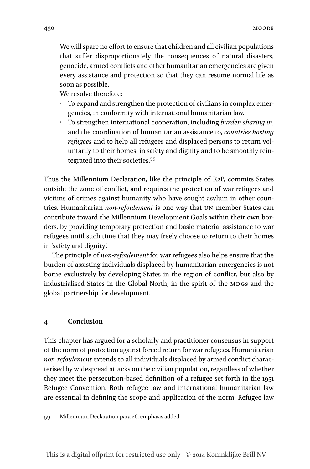We will spare no effort to ensure that children and all civilian populations that suffer disproportionately the consequences of natural disasters, genocide, armed conflicts and other humanitarian emergencies are given every assistance and protection so that they can resume normal life as soon as possible.

We resolve therefore:

- To expand and strengthen the protection of civilians in complex emergencies, in conformity with international humanitarian law.
- To strengthen international cooperation, including *burden sharing in*, and the coordination of humanitarian assistance to, *countries hosting refugees* and to help all refugees and displaced persons to return voluntarily to their homes, in safety and dignity and to be smoothly reintegrated into their societies.59

Thus the Millennium Declaration, like the principle of R2P, commits States outside the zone of conflict, and requires the protection of war refugees and victims of crimes against humanity who have sought asylum in other countries. Humanitarian *non-refoulement* is one way that un member States can contribute toward the Millennium Development Goals within their own borders, by providing temporary protection and basic material assistance to war refugees until such time that they may freely choose to return to their homes in 'safety and dignity'.

The principle of *non-refoulement* for war refugees also helps ensure that the burden of assisting individuals displaced by humanitarian emergencies is not borne exclusively by developing States in the region of conflict, but also by industrialised States in the Global North, in the spirit of the MDGs and the global partnership for development.

#### **4 Conclusion**

This chapter has argued for a scholarly and practitioner consensus in support of the norm of protection against forced return for war refugees. Humanitarian *non-refoulement* extends to all individuals displaced by armed conflict characterised by widespread attacks on the civilian population, regardless of whether they meet the persecution-based definition of a refugee set forth in the 1951 Refugee Convention. Both refugee law and international humanitarian law are essential in defining the scope and application of the norm. Refugee law

<sup>59</sup> Millennium Declaration para 26, emphasis added.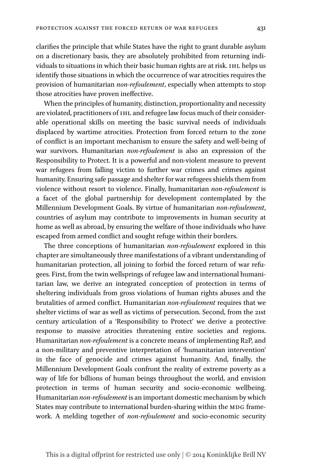clarifies the principle that while States have the right to grant durable asylum on a discretionary basis, they are absolutely prohibited from returning individuals to situations in which their basic human rights are at risk. IHL helps us identify those situations in which the occurrence of war atrocities requires the provision of humanitarian *non-refoulement*, especially when attempts to stop those atrocities have proven ineffective.

When the principles of humanity, distinction, proportionality and necessity are violated, practitioners of IHL and refugee law focus much of their considerable operational skills on meeting the basic survival needs of individuals displaced by wartime atrocities. Protection from forced return to the zone of conflict is an important mechanism to ensure the safety and well-being of war survivors. Humanitarian *non-refoulement* is also an expression of the Responsibility to Protect. It is a powerful and non-violent measure to prevent war refugees from falling victim to further war crimes and crimes against humanity. Ensuring safe passage and shelter for war refugees shields them from violence without resort to violence. Finally, humanitarian *non-refoulement* is a facet of the global partnership for development contemplated by the Millennium Development Goals. By virtue of humanitarian *non-refoulement*, countries of asylum may contribute to improvements in human security at home as well as abroad, by ensuring the welfare of those individuals who have escaped from armed conflict and sought refuge within their borders.

The three conceptions of humanitarian *non-refoulement* explored in this chapter are simultaneously three manifestations of a vibrant understanding of humanitarian protection, all joining to forbid the forced return of war refugees. First, from the twin wellsprings of refugee law and international humanitarian law, we derive an integrated conception of protection in terms of sheltering individuals from gross violations of human rights abuses and the brutalities of armed conflict. Humanitarian *non-refoulement* requires that we shelter victims of war as well as victims of persecution. Second, from the 21st century articulation of a 'Responsibility to Protect' we derive a protective response to massive atrocities threatening entire societies and regions. Humanitarian *non-refoulement* is a concrete means of implementing R2P, and a non-military and preventive interpretation of 'humanitarian intervention' in the face of genocide and crimes against humanity. And, finally, the Millennium Development Goals confront the reality of extreme poverty as a way of life for billions of human beings throughout the world, and envision protection in terms of human security and socio-economic wellbeing. Humanitarian *non-refoulement* is an important domestic mechanism by which States may contribute to international burden-sharing within the MDG framework. A melding together of *non-refoulement* and socio-economic security